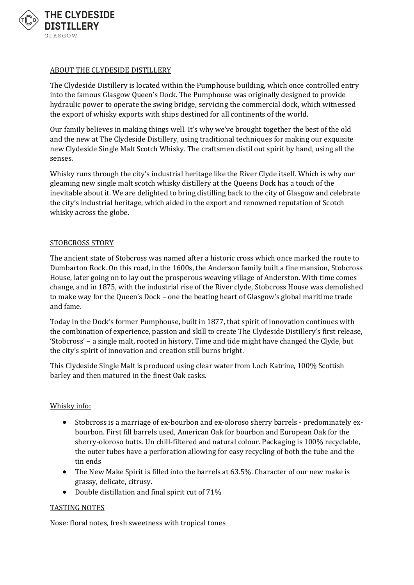

### ABOUT THE CLYDESIDE DISTILLERY

The Clydeside Distillery is located within the Pumphouse building, which once controlled entry into the famous Glasgow Queen's Dock. The Pumphouse was originally designed to provide hydraulic power to operate the swing bridge, servicing the commercial dock, which witnessed the export of whisky exports with ships destined for all continents of the world.

Our family believes in making things well. It's why we've brought together the best of the old and the new at The Clydeside Distillery, using traditional techniques for making our exquisite new Clydeside Single Malt Scotch Whisky. The craftsmen distil out spirit by hand, using all the senses.

Whisky runs through the city's industrial heritage like the River Clyde itself. Which is why our gleaming new single malt scotch whisky distillery at the Queens Dock has a touch of the inevitable about it. We are delighted to bring distilling back to the city of Glasgow and celebrate the city's industrial heritage, which aided in the export and renowned reputation of Scotch whisky across the globe.

## STOBCROSS STORY

The ancient state of Stobcross was named after a historic cross which once marked the route to Dumbarton Rock. On this road, in the 1600s, the Anderson family built a fine mansion, Stobcross House, later going on to lay out the prosperous weaving village of Anderston. With time comes change, and in 1875, with the industrial rise of the River clyde, Stobcross House was demolished to make way for the Queen's Dock – one the beating heart of Glasgow's global maritime trade and fame.

Today in the Dock's former Pumphouse, built in 1877, that spirit of innovation continues with the combination of experience, passion and skill to create The Clydeside Distillery's first release, 'Stobcross' – a single malt, rooted in history. Time and tide might have changed the Clyde, but the city's spirit of innovation and creation still burns bright.

This Clydeside Single Malt is produced using clear water from Loch Katrine, 100% Scottish barley and then matured in the finest Oak casks.

### Whisky info:

- Stobcross is a marriage of ex-bourbon and ex-oloroso sherry barrels predominately exbourbon. First fill barrels used, American Oak for bourbon and European Oak for the sherry-oloroso butts. Un chill-filtered and natural colour. Packaging is 100% recyclable, the outer tubes have a perforation allowing for easy recycling of both the tube and the tin ends
- The New Make Spirit is filled into the barrels at 63.5%. Character of our new make is grassy, delicate, citrusy.
- Double distillation and final spirit cut of 71%

### TASTING NOTES

Nose: floral notes, fresh sweetness with tropical tones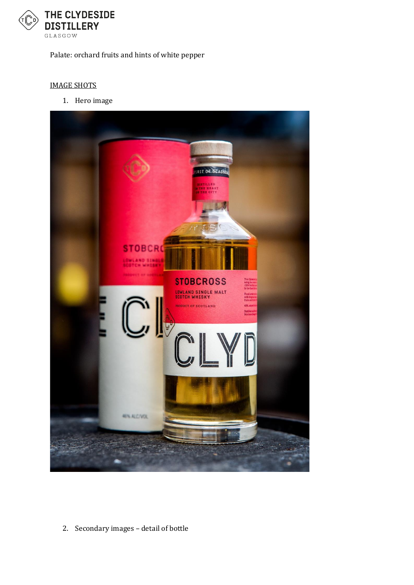

Palate: orchard fruits and hints of white pepper

# IMAGE SHOTS

1. Hero image



2. Secondary images – detail of bottle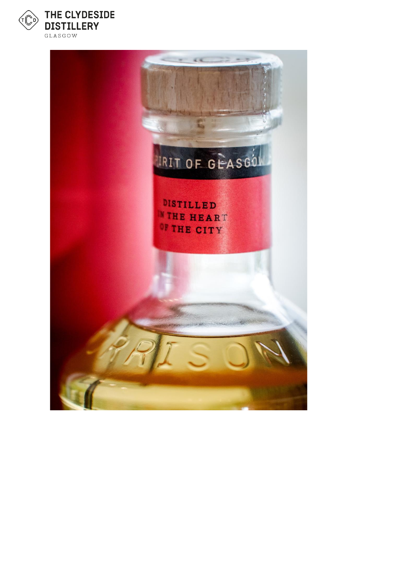

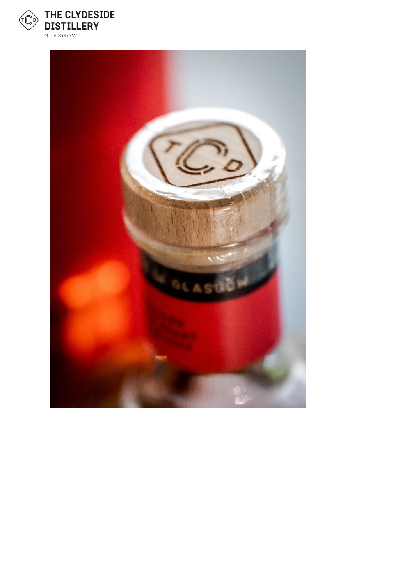